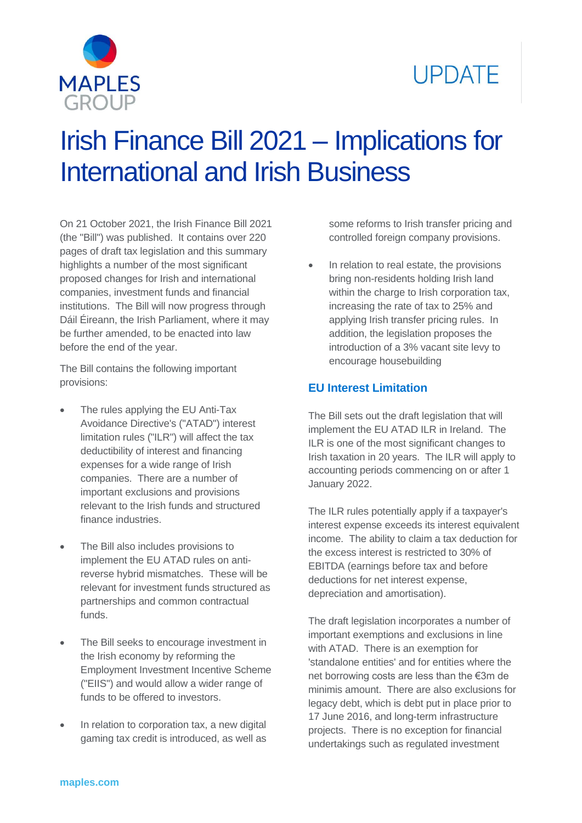# **UPDATE**



# Irish Finance Bill 2021 – Implications for International and Irish Business

On 21 October 2021, the Irish Finance Bill 2021 (the "Bill") was published. It contains over 220 pages of draft tax legislation and this summary highlights a number of the most significant proposed changes for Irish and international companies, investment funds and financial institutions. The Bill will now progress through Dáil Éireann, the Irish Parliament, where it may be further amended, to be enacted into law before the end of the year.

The Bill contains the following important provisions:

- The rules applying the EU Anti-Tax Avoidance Directive's ("ATAD") interest limitation rules ("ILR") will affect the tax deductibility of interest and financing expenses for a wide range of Irish companies. There are a number of important exclusions and provisions relevant to the Irish funds and structured finance industries.
- The Bill also includes provisions to implement the EU ATAD rules on antireverse hybrid mismatches. These will be relevant for investment funds structured as partnerships and common contractual funds.
- The Bill seeks to encourage investment in the Irish economy by reforming the Employment Investment Incentive Scheme ("EIIS") and would allow a wider range of funds to be offered to investors.
- In relation to corporation tax, a new digital gaming tax credit is introduced, as well as

some reforms to Irish transfer pricing and controlled foreign company provisions.

 In relation to real estate, the provisions bring non-residents holding Irish land within the charge to Irish corporation tax, increasing the rate of tax to 25% and applying Irish transfer pricing rules. In addition, the legislation proposes the introduction of a 3% vacant site levy to encourage housebuilding

# **EU Interest Limitation**

The Bill sets out the draft legislation that will implement the EU ATAD ILR in Ireland. The ILR is one of the most significant changes to Irish taxation in 20 years. The ILR will apply to accounting periods commencing on or after 1 January 2022.

The ILR rules potentially apply if a taxpayer's interest expense exceeds its interest equivalent income. The ability to claim a tax deduction for the excess interest is restricted to 30% of EBITDA (earnings before tax and before deductions for net interest expense, depreciation and amortisation).

The draft legislation incorporates a number of important exemptions and exclusions in line with ATAD. There is an exemption for 'standalone entities' and for entities where the net borrowing costs are less than the €3m de minimis amount. There are also exclusions for legacy debt, which is debt put in place prior to 17 June 2016, and long-term infrastructure projects. There is no exception for financial undertakings such as regulated investment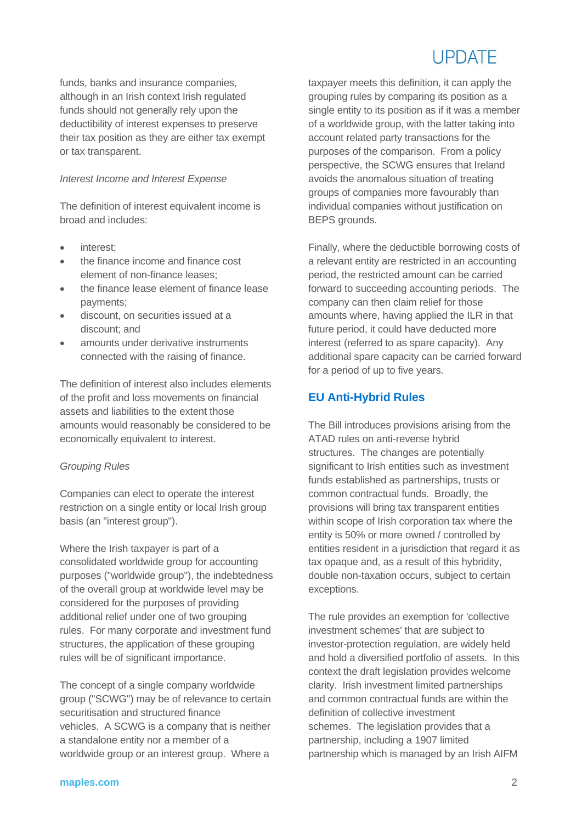# LIPDATE

funds, banks and insurance companies, although in an Irish context Irish regulated funds should not generally rely upon the deductibility of interest expenses to preserve their tax position as they are either tax exempt or tax transparent.

#### *Interest Income and Interest Expense*

The definition of interest equivalent income is broad and includes:

- interest;
- the finance income and finance cost element of non-finance leases;
- the finance lease element of finance lease payments;
- discount, on securities issued at a discount; and
- amounts under derivative instruments connected with the raising of finance.

The definition of interest also includes elements of the profit and loss movements on financial assets and liabilities to the extent those amounts would reasonably be considered to be economically equivalent to interest.

#### *Grouping Rules*

Companies can elect to operate the interest restriction on a single entity or local Irish group basis (an "interest group").

Where the Irish taxpayer is part of a consolidated worldwide group for accounting purposes ("worldwide group"), the indebtedness of the overall group at worldwide level may be considered for the purposes of providing additional relief under one of two grouping rules. For many corporate and investment fund structures, the application of these grouping rules will be of significant importance.

The concept of a single company worldwide group ("SCWG") may be of relevance to certain securitisation and structured finance vehicles. A SCWG is a company that is neither a standalone entity nor a member of a worldwide group or an interest group. Where a

taxpayer meets this definition, it can apply the grouping rules by comparing its position as a single entity to its position as if it was a member of a worldwide group, with the latter taking into account related party transactions for the purposes of the comparison. From a policy perspective, the SCWG ensures that Ireland avoids the anomalous situation of treating groups of companies more favourably than individual companies without justification on BEPS grounds.

Finally, where the deductible borrowing costs of a relevant entity are restricted in an accounting period, the restricted amount can be carried forward to succeeding accounting periods. The company can then claim relief for those amounts where, having applied the ILR in that future period, it could have deducted more interest (referred to as spare capacity). Any additional spare capacity can be carried forward for a period of up to five years.

# **EU Anti-Hybrid Rules**

The Bill introduces provisions arising from the ATAD rules on anti-reverse hybrid structures. The changes are potentially significant to Irish entities such as investment funds established as partnerships, trusts or common contractual funds. Broadly, the provisions will bring tax transparent entities within scope of Irish corporation tax where the entity is 50% or more owned / controlled by entities resident in a jurisdiction that regard it as tax opaque and, as a result of this hybridity, double non-taxation occurs, subject to certain exceptions.

The rule provides an exemption for 'collective investment schemes' that are subject to investor-protection regulation, are widely held and hold a diversified portfolio of assets. In this context the draft legislation provides welcome clarity. Irish investment limited partnerships and common contractual funds are within the definition of collective investment schemes. The legislation provides that a partnership, including a 1907 limited partnership which is managed by an Irish AIFM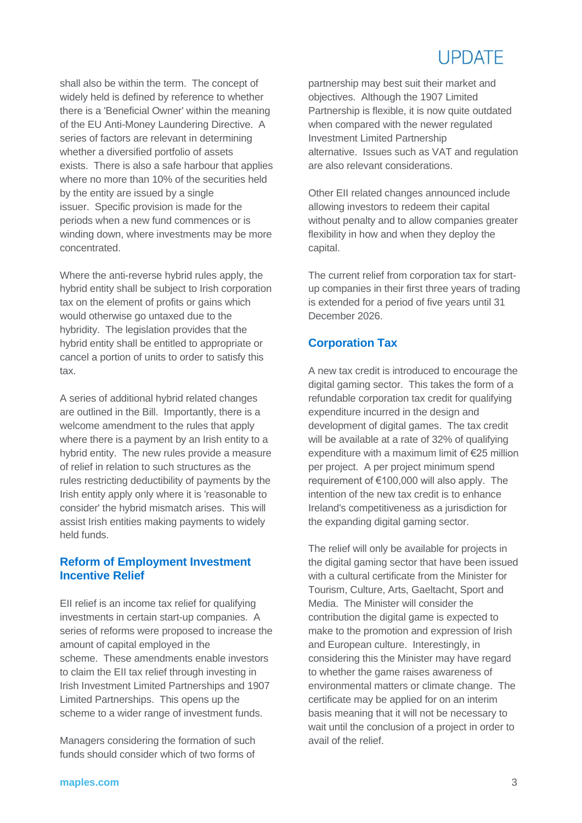# **UPDATE**

shall also be within the term. The concept of widely held is defined by reference to whether there is a 'Beneficial Owner' within the meaning of the EU Anti-Money Laundering Directive. A series of factors are relevant in determining whether a diversified portfolio of assets exists. There is also a safe harbour that applies where no more than 10% of the securities held by the entity are issued by a single issuer. Specific provision is made for the periods when a new fund commences or is winding down, where investments may be more concentrated.

Where the anti-reverse hybrid rules apply, the hybrid entity shall be subject to Irish corporation tax on the element of profits or gains which would otherwise go untaxed due to the hybridity. The legislation provides that the hybrid entity shall be entitled to appropriate or cancel a portion of units to order to satisfy this tax.

A series of additional hybrid related changes are outlined in the Bill. Importantly, there is a welcome amendment to the rules that apply where there is a payment by an Irish entity to a hybrid entity. The new rules provide a measure of relief in relation to such structures as the rules restricting deductibility of payments by the Irish entity apply only where it is 'reasonable to consider' the hybrid mismatch arises. This will assist Irish entities making payments to widely held funds.

## **Reform of Employment Investment Incentive Relief**

EII relief is an income tax relief for qualifying investments in certain start-up companies. A series of reforms were proposed to increase the amount of capital employed in the scheme. These amendments enable investors to claim the EII tax relief through investing in Irish Investment Limited Partnerships and 1907 Limited Partnerships. This opens up the scheme to a wider range of investment funds.

Managers considering the formation of such funds should consider which of two forms of

partnership may best suit their market and objectives. Although the 1907 Limited Partnership is flexible, it is now quite outdated when compared with the newer regulated Investment Limited Partnership alternative. Issues such as VAT and regulation are also relevant considerations.

Other EII related changes announced include allowing investors to redeem their capital without penalty and to allow companies greater flexibility in how and when they deploy the capital.

The current relief from corporation tax for startup companies in their first three years of trading is extended for a period of five years until 31 December 2026.

## **Corporation Tax**

A new tax credit is introduced to encourage the digital gaming sector. This takes the form of a refundable corporation tax credit for qualifying expenditure incurred in the design and development of digital games. The tax credit will be available at a rate of 32% of qualifying expenditure with a maximum limit of €25 million per project. A per project minimum spend requirement of €100,000 will also apply. The intention of the new tax credit is to enhance Ireland's competitiveness as a jurisdiction for the expanding digital gaming sector.

The relief will only be available for projects in the digital gaming sector that have been issued with a cultural certificate from the Minister for Tourism, Culture, Arts, Gaeltacht, Sport and Media. The Minister will consider the contribution the digital game is expected to make to the promotion and expression of Irish and European culture. Interestingly, in considering this the Minister may have regard to whether the game raises awareness of environmental matters or climate change. The certificate may be applied for on an interim basis meaning that it will not be necessary to wait until the conclusion of a project in order to avail of the relief.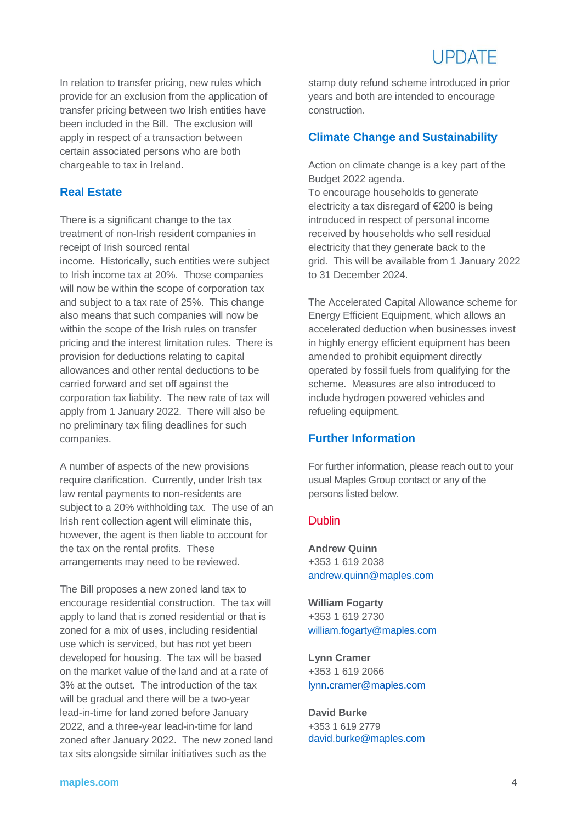In relation to transfer pricing, new rules which provide for an exclusion from the application of transfer pricing between two Irish entities have been included in the Bill. The exclusion will apply in respect of a transaction between certain associated persons who are both chargeable to tax in Ireland.

### **Real Estate**

There is a significant change to the tax treatment of non-Irish resident companies in receipt of Irish sourced rental income. Historically, such entities were subject to Irish income tax at 20%. Those companies will now be within the scope of corporation tax and subject to a tax rate of 25%. This change also means that such companies will now be within the scope of the Irish rules on transfer pricing and the interest limitation rules. There is provision for deductions relating to capital allowances and other rental deductions to be carried forward and set off against the corporation tax liability. The new rate of tax will apply from 1 January 2022. There will also be no preliminary tax filing deadlines for such companies.

A number of aspects of the new provisions require clarification. Currently, under Irish tax law rental payments to non-residents are subject to a 20% withholding tax. The use of an Irish rent collection agent will eliminate this, however, the agent is then liable to account for the tax on the rental profits. These arrangements may need to be reviewed.

The Bill proposes a new zoned land tax to encourage residential construction. The tax will apply to land that is zoned residential or that is zoned for a mix of uses, including residential use which is serviced, but has not yet been developed for housing. The tax will be based on the market value of the land and at a rate of 3% at the outset. The introduction of the tax will be gradual and there will be a two-year lead-in-time for land zoned before January 2022, and a three-year lead-in-time for land zoned after January 2022. The new zoned land tax sits alongside similar initiatives such as the

stamp duty refund scheme introduced in prior years and both are intended to encourage construction.

### **Climate Change and Sustainability**

Action on climate change is a key part of the Budget 2022 agenda.

To encourage households to generate electricity a tax disregard of €200 is being introduced in respect of personal income received by households who sell residual electricity that they generate back to the grid. This will be available from 1 January 2022 to 31 December 2024.

The Accelerated Capital Allowance scheme for Energy Efficient Equipment, which allows an accelerated deduction when businesses invest in highly energy efficient equipment has been amended to prohibit equipment directly operated by fossil fuels from qualifying for the scheme. Measures are also introduced to include hydrogen powered vehicles and refueling equipment.

### **Further Information**

For further information, please reach out to your usual Maples Group contact or any of the persons listed below.

### **Dublin**

**Andrew Quinn**  +353 1 619 2038 [andrew.quinn@maples.com](mailto:andrew.quinn@maples.com)

**William Fogarty**  +353 1 619 2730 [william.fogarty@maples.com](file:///C:/Users/rry/AppData/Local/Microsoft/Windows/INetCache/Content.Outlook/43EEK1EX/william.fogarty@maples.com)

**Lynn Cramer** +353 1 619 2066 [lynn.cramer@maples.com](mailto:lynn.cramer@maples.com)

**David Burke** +353 1 619 2779 [david.burke@maples.com](mailto:david.burke@maples.com)